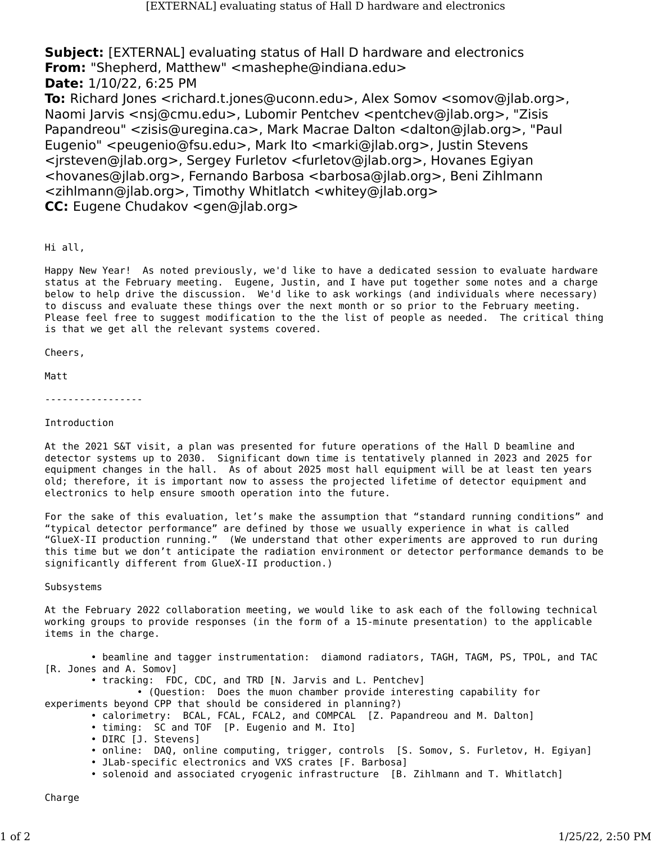**Subject:** [EXTERNAL] evaluating status of Hall D hardware and electronics **From:** "Shepherd, Matthew" <mashephe@indiana.edu> **Date:** 1/10/22, 6:25 PM

**To:** Richard Jones <richard.t.jones@uconn.edu>, Alex Somov <somov@jlab.org>, Naomi Jarvis <nsj@cmu.edu>, Lubomir Pentchev <pentchev@jlab.org>, "Zisis Papandreou" <zisis@uregina.ca>, Mark Macrae Dalton <dalton@jlab.org>, "Paul Eugenio" <peugenio@fsu.edu>, Mark Ito <marki@jlab.org>, Justin Stevens <jrsteven@jlab.org>, Sergey Furletov <furletov@jlab.org>, Hovanes Egiyan <hovanes@jlab.org>, Fernando Barbosa <barbosa@jlab.org>, Beni Zihlmann <zihlmann@jlab.org>, Timothy Whitlatch <whitey@jlab.org> **CC:** Eugene Chudakov <gen@jlab.org>

## Hi all,

Happy New Year! As noted previously, we'd like to have a dedicated session to evaluate hardware status at the February meeting. Eugene, Justin, and I have put together some notes and a charge below to help drive the discussion. We'd like to ask workings (and individuals where necessary) to discuss and evaluate these things over the next month or so prior to the February meeting. Please feel free to suggest modification to the the list of people as needed. The critical thing is that we get all the relevant systems covered.

Cheers,

Matt

-----------------

## Introduction

At the 2021 S&T visit, a plan was presented for future operations of the Hall D beamline and detector systems up to 2030. Significant down time is tentatively planned in 2023 and 2025 for equipment changes in the hall. As of about 2025 most hall equipment will be at least ten years old; therefore, it is important now to assess the projected lifetime of detector equipment and electronics to help ensure smooth operation into the future.

For the sake of this evaluation, let's make the assumption that "standard running conditions" and "typical detector performance" are defined by those we usually experience in what is called "GlueX-II production running." (We understand that other experiments are approved to run during this time but we don't anticipate the radiation environment or detector performance demands to be significantly different from GlueX-II production.)

Subsystems

At the February 2022 collaboration meeting, we would like to ask each of the following technical working groups to provide responses (in the form of a 15-minute presentation) to the applicable items in the charge.

• beamline and tagger instrumentation: diamond radiators, TAGH, TAGM, PS, TPOL, and TAC [R. Jones and A. Somov]

• tracking: FDC, CDC, and TRD [N. Jarvis and L. Pentchev]

• (Question: Does the muon chamber provide interesting capability for experiments beyond CPP that should be considered in planning?)

• calorimetry: BCAL, FCAL, FCAL2, and COMPCAL [Z. Papandreou and M. Dalton]

- timing: SC and TOF [P. Eugenio and M. Ito]
- DIRC [J. Stevens]
- online: DAQ, online computing, trigger, controls [S. Somov, S. Furletov, H. Egiyan]
- JLab-specific electronics and VXS crates [F. Barbosa]
- solenoid and associated cryogenic infrastructure [B. Zihlmann and T. Whitlatch]

**Charge**